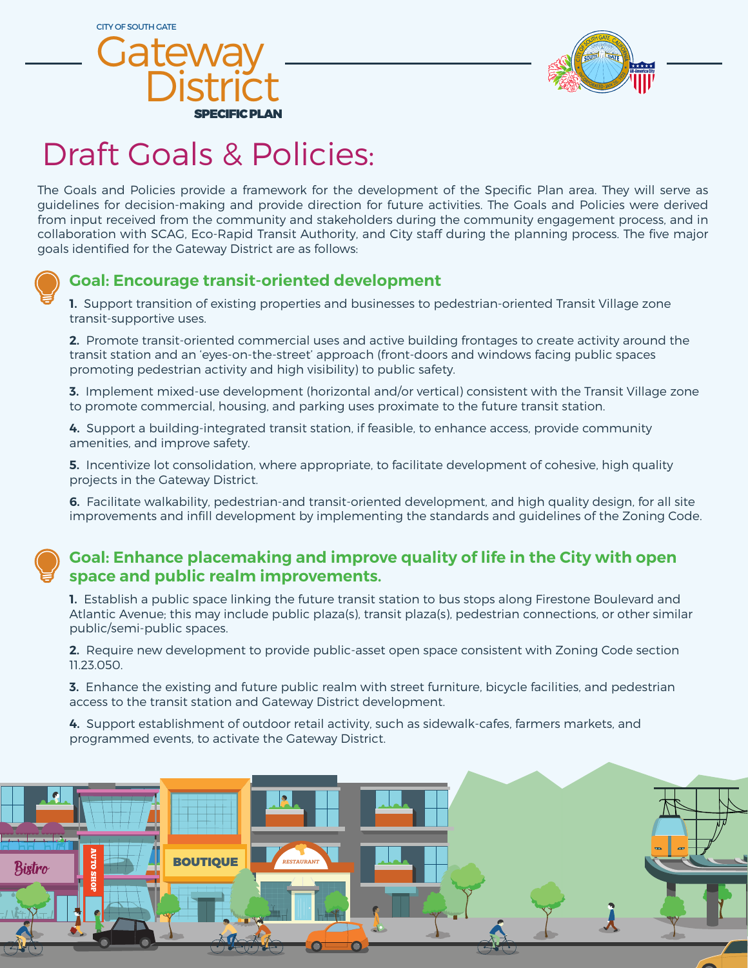CITY OF SOUTH GATE





# Draft Goals & Policies:

The Goals and Policies provide a framework for the development of the Specific Plan area. They will serve as guidelines for decision-making and provide direction for future activities. The Goals and Policies were derived from input received from the community and stakeholders during the community engagement process, and in collaboration with SCAG, Eco-Rapid Transit Authority, and City staff during the planning process. The five major goals identified for the Gateway District are as follows:



## **Goal: Encourage transit-oriented development**

**1.** Support transition of existing properties and businesses to pedestrian-oriented Transit Village zone transit-supportive uses.

**2.** Promote transit-oriented commercial uses and active building frontages to create activity around the transit station and an 'eyes-on-the-street' approach (front-doors and windows facing public spaces promoting pedestrian activity and high visibility) to public safety.

**3.** Implement mixed-use development (horizontal and/or vertical) consistent with the Transit Village zone to promote commercial, housing, and parking uses proximate to the future transit station.

**4.** Support a building-integrated transit station, if feasible, to enhance access, provide community amenities, and improve safety.

**5.** Incentivize lot consolidation, where appropriate, to facilitate development of cohesive, high quality projects in the Gateway District.

**6.** Facilitate walkability, pedestrian-and transit-oriented development, and high quality design, for all site improvements and infill development by implementing the standards and guidelines of the Zoning Code.

#### **Goal: Enhance placemaking and improve quality of life in the City with open space and public realm improvements.**

**1.** Establish a public space linking the future transit station to bus stops along Firestone Boulevard and Atlantic Avenue; this may include public plaza(s), transit plaza(s), pedestrian connections, or other similar public/semi-public spaces.

**2.** Require new development to provide public-asset open space consistent with Zoning Code section 11.23.050.

**3.** Enhance the existing and future public realm with street furniture, bicycle facilities, and pedestrian access to the transit station and Gateway District development.

**4.** Support establishment of outdoor retail activity, such as sidewalk-cafes, farmers markets, and programmed events, to activate the Gateway District.